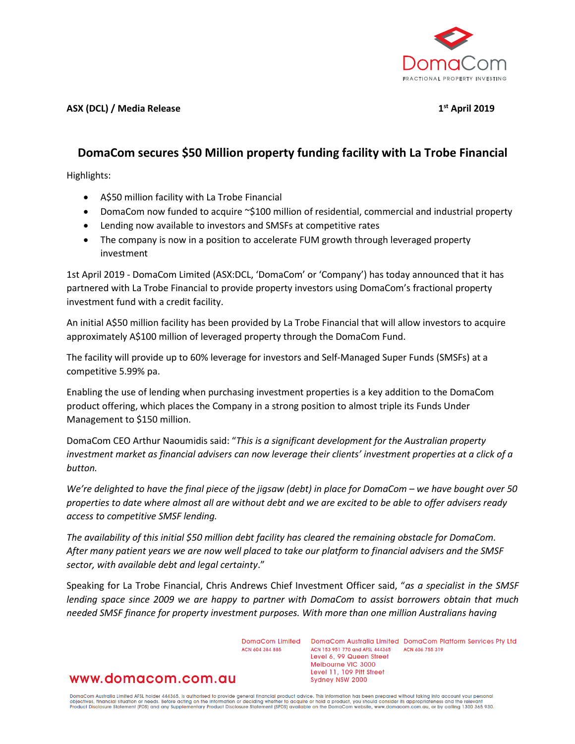

**ASX (DCL) / Media Release 1st April 2019**

# **DomaCom secures \$50 Million property funding facility with La Trobe Financial**

Highlights:

- A\$50 million facility with La Trobe Financial
- DomaCom now funded to acquire ~\$100 million of residential, commercial and industrial property
- Lending now available to investors and SMSFs at competitive rates
- The company is now in a position to accelerate FUM growth through leveraged property investment

1st April 2019 - DomaCom Limited (ASX:DCL, 'DomaCom' or 'Company') has today announced that it has partnered with La Trobe Financial to provide property investors using DomaCom's fractional property investment fund with a credit facility.

An initial A\$50 million facility has been provided by La Trobe Financial that will allow investors to acquire approximately A\$100 million of leveraged property through the DomaCom Fund.

The facility will provide up to 60% leverage for investors and Self-Managed Super Funds (SMSFs) at a competitive 5.99% pa.

Enabling the use of lending when purchasing investment properties is a key addition to the DomaCom product offering, which places the Company in a strong position to almost triple its Funds Under Management to \$150 million.

DomaCom CEO Arthur Naoumidis said: "*This is a significant development for the Australian property investment market as financial advisers can now leverage their clients' investment properties at a click of a button.* 

*We're delighted to have the final piece of the jigsaw (debt) in place for DomaCom – we have bought over 50 properties to date where almost all are without debt and we are excited to be able to offer advisers ready access to competitive SMSF lending.*

*The availability of this initial \$50 million debt facility has cleared the remaining obstacle for DomaCom. After many patient years we are now well placed to take our platform to financial advisers and the SMSF sector, with available debt and legal certainty*."

Speaking for La Trobe Financial, Chris Andrews Chief Investment Officer said, "*as a specialist in the SMSF lending space since 2009 we are happy to partner with DomaCom to assist borrowers obtain that much needed SMSF finance for property investment purposes. With more than one million Australians having* 

ACN 604 384 885

DomaCom Limited DomaCom Australia Limited DomaCom Platform Services Pty Ltd ACN 153 951 770 and AFSL 444365 ACN 606 755 319 Level 6, 99 Queen Street Melbourne VIC 3000 Level 11, 109 Pitt Street Sydney NSW 2000

## www.domacom.com.au

DomaCom Australia Limited AFSL holder 444365, is authorised to provide general financial product advice. This information has been prepared without taking into account your personal<br>objectives, financial situation or needs